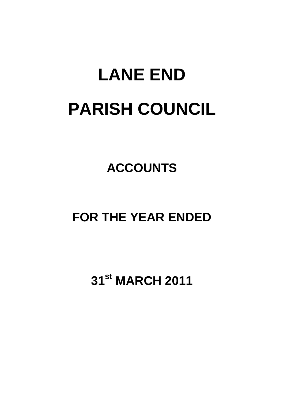# **LANE END PARISH COUNCIL**

### **ACCOUNTS**

### **FOR THE YEAR ENDED**

## **31st MARCH 2011**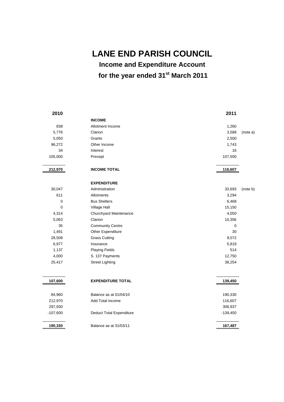**LANE END PARISH COUNCIL** 

**Income and Expenditure Account for the year ended 31st March 2011** 

**2010 2011 INCOME**  838 Allotment Income 1,260 5,776 Clarion 3,588 (note a) 5,050 Grants 2,500 96,272 Other Income 1,743 34 Interest 16 105,000 Precept 107,500 **212,970 INCOME TOTAL 116,607 EXPENDITURE**  30,047 Administration 33,693 (note b) 611 Allotments 3,294 0 Bus Shelters 6,468 0 Village Hall **15,150** 4,314 Churchyard Maintenance 4,050 5,063 Clarion 10,356 35 Community Centre 0 1,491 **Other Expenditure** 30 28,508 Grass Cutting 9,072 6,977 Insurance 5,819 1,137 **Playing Fields** 514 4,000 S. 137 Payments 12,750 25,417 Street Lighting 38,254 **107,600 EXPENDITURE TOTAL 139,450 PM 2006 139,450 PM 2006 2139,450 PM 2006 2139,450 PM 2006 2139,450 PM 2006 2139,450 PM 2006 2139,450 PM 2006 2139,450 PM 2007 PM 2007 PM 2007 PM 2007 PM 2007 PM 2007 PM 2007 PM 2007 PM 20** 84,960 Balance as at 01/04/10 190,330 212,970 Add Total Income 116,607 297,930 306,937 -107,600 Deduct Total Expenditure -107,600 -139,450 **190,330** Balance as at 31/03/11 **167,487**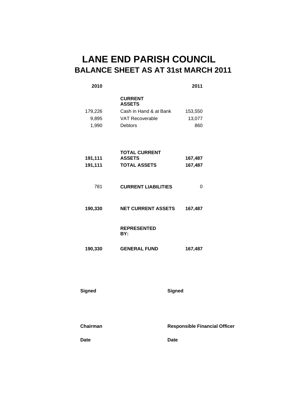### **LANE END PARISH COUNCIL BALANCE SHEET AS AT 31st MARCH 2011**

| 2010    |                                 | 2011    |
|---------|---------------------------------|---------|
|         | <b>CURRENT</b><br><b>ASSETS</b> |         |
| 179,226 | Cash in Hand & at Bank          | 153,550 |
| 9,895   | <b>VAT Recoverable</b>          | 13,077  |
| 1,990   | <b>Debtors</b>                  | 860     |
|         |                                 |         |
|         | <b>TOTAL CURRENT</b>            |         |
| 191,111 | <b>ASSETS</b>                   | 167,487 |
| 191,111 | <b>TOTAL ASSETS</b>             | 167,487 |
| 781     | <b>CURRENT LIABILITIES</b>      | 0       |
| 190,330 | <b>NET CURRENT ASSETS</b>       | 167,487 |
|         | <b>REPRESENTED</b><br>BY:       |         |
| 190,330 | <b>GENERAL FUND</b>             | 167,487 |

#### **Signed Signed**

**Chairman Responsible Financial Officer** 

**Date** Date Date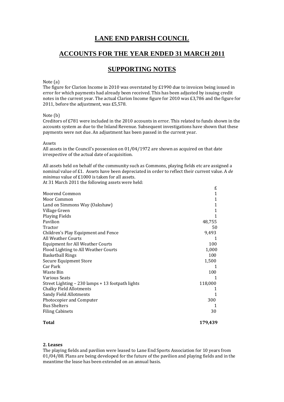### **LANE END PARISH COUNCIL**

#### **ACCOUNTS FOR THE YEAR ENDED 31 MARCH 2011**

#### **SUPPORTING NOTES**

#### Note (a)

The figure for Clarion Income in 2010 was overstated by  $£1990$  due to invoices being issued in error for which payments had already been received. This has been adjusted by issuing credit notes in the current year. The actual Clarion Income figure for 2010 was £3,786 and the figure for 2011, before the adjustment, was  $£5,578$ .

#### Note (b)

Creditors of  $E781$  were included in the 2010 accounts in error. This related to funds shown in the accounts system as due to the Inland Revenue. Subsequent investigations have shown that these payments were not due. An adjustment has been passed in the current year.

Assets 

All assets in the Council's possession on  $01/04/1972$  are shown as acquired on that date irrespective of the actual date of acquisition.

All assets held on behalf of the community such as Commons, playing fields etc are assigned a nominal value of £1. Assets have been depreciated in order to reflect their current value. A *de minimus* value of £1000 is taken for all assets.

£ 

At 31 March 2011 the following assets were held:

| Total                                            | 179,439 |  |
|--------------------------------------------------|---------|--|
| <b>Filing Cabinets</b>                           | 30      |  |
| <b>Bus Shelters</b>                              |         |  |
| Photocopier and Computer                         | 300     |  |
| <b>Sandy Field Allotments</b>                    | 1       |  |
| <b>Chalky Field Allotments</b>                   |         |  |
| Street Lighting – 230 lamps + 13 footpath lights | 118,000 |  |
| <b>Various Seats</b>                             |         |  |
| Waste Bin                                        | 100     |  |
| Car Park                                         |         |  |
| Secure Equipment Store                           | 1,500   |  |
| <b>Basketball Rings</b>                          | 100     |  |
| Flood Lighting to All Weather Courts             | 1,000   |  |
| <b>Equipment for All Weather Courts</b>          | 100     |  |
| All Weather Courts                               |         |  |
| Children's Play Equipment and Fence              | 9,493   |  |
| Tractor                                          | 50      |  |
| Pavilion                                         | 48,755  |  |
| Playing Fields                                   | 1       |  |
| Village Green                                    | 1       |  |
| Land on Simmons Way (Oakshaw)                    | 1       |  |
| Moor Common                                      | 1       |  |
| Moorend Common                                   | 1       |  |
|                                                  | L       |  |

#### **2. Leases**

The playing fields and pavilion were leased to Lane End Sports Association for 10 years from  $01/04/88$ . Plans are being developed for the future of the pavilion and playing fields and in the meantime the lease has been extended on an annual basis.